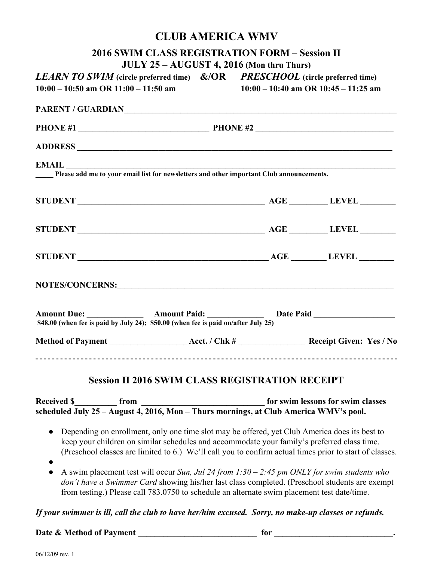## **CLUB AMERICA WMV**

|                    |                                          |                                                                                    | <b>2016 SWIM CLASS REGISTRATION FORM - Session II</b>                                                                                                                                                                         |                                                                                                                                                                                                                                                                                                         |  |
|--------------------|------------------------------------------|------------------------------------------------------------------------------------|-------------------------------------------------------------------------------------------------------------------------------------------------------------------------------------------------------------------------------|---------------------------------------------------------------------------------------------------------------------------------------------------------------------------------------------------------------------------------------------------------------------------------------------------------|--|
|                    | $10:00 - 10:50$ am OR $11:00 - 11:50$ am |                                                                                    | JULY 25 - AUGUST 4, 2016 (Mon thru Thurs)<br><b>LEARN TO SWIM</b> (circle preferred time) $\&/OR$ <b>PRESCHOOL</b> (circle preferred time)<br>$10:00 - 10:40$ am OR $10:45 - 11:25$ am                                        |                                                                                                                                                                                                                                                                                                         |  |
|                    |                                          |                                                                                    | PARENT / GUARDIANNNING COMMENTARY CONTRACT OF THE CONTRACT OF THE CONTRACT OF THE CONTRACT OF THE CONTRACT OF THE CONTRACT OF THE CONTRACT OF THE CONTRACT OF THE CONTRACT OF THE CONTRACT OF THE CONTRACT OF THE CONTRACT OF |                                                                                                                                                                                                                                                                                                         |  |
|                    |                                          |                                                                                    |                                                                                                                                                                                                                               |                                                                                                                                                                                                                                                                                                         |  |
|                    |                                          |                                                                                    |                                                                                                                                                                                                                               |                                                                                                                                                                                                                                                                                                         |  |
|                    |                                          |                                                                                    | <b>EMAIL</b><br>Please add me to your email list for newsletters and other important Club announcements.                                                                                                                      |                                                                                                                                                                                                                                                                                                         |  |
|                    |                                          |                                                                                    |                                                                                                                                                                                                                               |                                                                                                                                                                                                                                                                                                         |  |
|                    |                                          |                                                                                    |                                                                                                                                                                                                                               |                                                                                                                                                                                                                                                                                                         |  |
|                    |                                          |                                                                                    |                                                                                                                                                                                                                               |                                                                                                                                                                                                                                                                                                         |  |
|                    |                                          |                                                                                    |                                                                                                                                                                                                                               |                                                                                                                                                                                                                                                                                                         |  |
|                    |                                          | \$48.00 (when fee is paid by July 24); \$50.00 (when fee is paid on/after July 25) |                                                                                                                                                                                                                               |                                                                                                                                                                                                                                                                                                         |  |
|                    |                                          |                                                                                    |                                                                                                                                                                                                                               |                                                                                                                                                                                                                                                                                                         |  |
|                    |                                          |                                                                                    | <b>Session II 2016 SWIM CLASS REGISTRATION RECEIPT</b>                                                                                                                                                                        |                                                                                                                                                                                                                                                                                                         |  |
| <b>Received \$</b> | from                                     |                                                                                    | for swim lessons for swim classes<br>Received \$ from from from for swim lessons for swim close heduled July 25 - August 4, 2016, Mon - Thurs mornings, at Club America WMV's pool.                                           |                                                                                                                                                                                                                                                                                                         |  |
|                    |                                          |                                                                                    |                                                                                                                                                                                                                               |                                                                                                                                                                                                                                                                                                         |  |
| $\bullet$          |                                          |                                                                                    |                                                                                                                                                                                                                               | Depending on enrollment, only one time slot may be offered, yet Club America does its best to<br>keep your children on similar schedules and accommodate your family's preferred class time.<br>(Preschool classes are limited to 6.) We'll call you to confirm actual times prior to start of classes. |  |
| $\bullet$          |                                          |                                                                                    | from testing.) Please call 783.0750 to schedule an alternate swim placement test date/time.                                                                                                                                   | A swim placement test will occur Sun, Jul 24 from 1:30 – 2:45 pm ONLY for swim students who<br>don't have a Swimmer Card showing his/her last class completed. (Preschool students are exempt                                                                                                           |  |
|                    |                                          |                                                                                    |                                                                                                                                                                                                                               | If your swimmer is ill, call the club to have her/him excused. Sorry, no make-up classes or refunds.                                                                                                                                                                                                    |  |

## **Date & Method of Payment \_\_\_\_\_\_\_\_\_\_\_\_\_\_\_\_\_\_\_\_\_\_\_\_\_\_\_\_ for \_\_\_\_\_\_\_\_\_\_\_\_\_\_\_\_\_\_\_\_\_\_\_\_\_\_\_\_.**